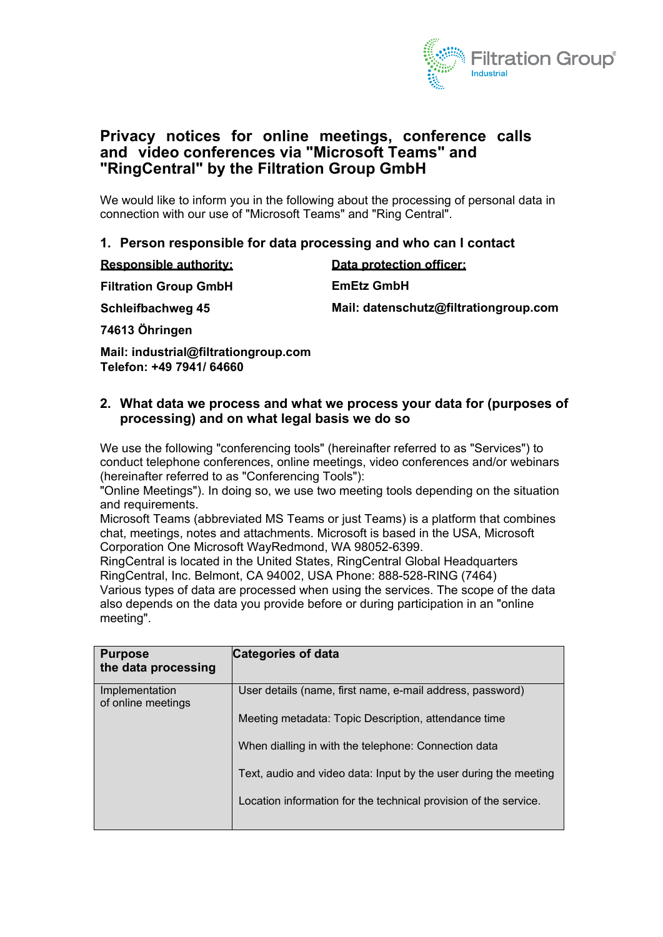

# **Privacy notices for online meetings, conference calls and video conferences via "Microsoft Teams" and "RingCentral" by the Filtration Group GmbH**

We would like to inform you in the following about the processing of personal data in connection with our use of "Microsoft Teams" and "Ring Central".

### **1. Person responsible for data processing and who can I contact**

| <b>Responsible authority:</b> | Data protection officer:              |
|-------------------------------|---------------------------------------|
| <b>Filtration Group GmbH</b>  | <b>EmEtz GmbH</b>                     |
| Schleifbachweg 45             | Mail: datenschutz@filtrationgroup.com |
| ________                      |                                       |

**74613 Öhringen**

**Mail: industrial[@filtrationgroup.](mailto:info@filtration-group.com)com Telefon: +49 7941/ 64660** 

#### **2. What data we process and what we process your data for (purposes of processing) and on what legal basis we do so**

We use the following "conferencing tools" (hereinafter referred to as "Services") to conduct telephone conferences, online meetings, video conferences and/or webinars (hereinafter referred to as "Conferencing Tools"):

"Online Meetings"). In doing so, we use two meeting tools depending on the situation and requirements.

Microsoft Teams (abbreviated MS Teams or just Teams) is a platform that combines chat, meetings, notes and attachments. Microsoft is based in the USA, Microsoft Corporation One Microsoft WayRedmond, WA 98052-6399.

RingCentral is located in the United States, RingCentral Global Headquarters RingCentral, Inc. Belmont, CA 94002, USA Phone: 888-528-RING (7464) Various types of data are processed when using the services. The scope of the data also depends on the data you provide before or during participation in an "online meeting".

| <b>Purpose</b><br>the data processing | Categories of data                                               |
|---------------------------------------|------------------------------------------------------------------|
| Implementation<br>of online meetings  | User details (name, first name, e-mail address, password)        |
|                                       | Meeting metadata: Topic Description, attendance time             |
|                                       | When dialling in with the telephone: Connection data             |
|                                       | Text, audio and video data: Input by the user during the meeting |
|                                       | Location information for the technical provision of the service. |
|                                       |                                                                  |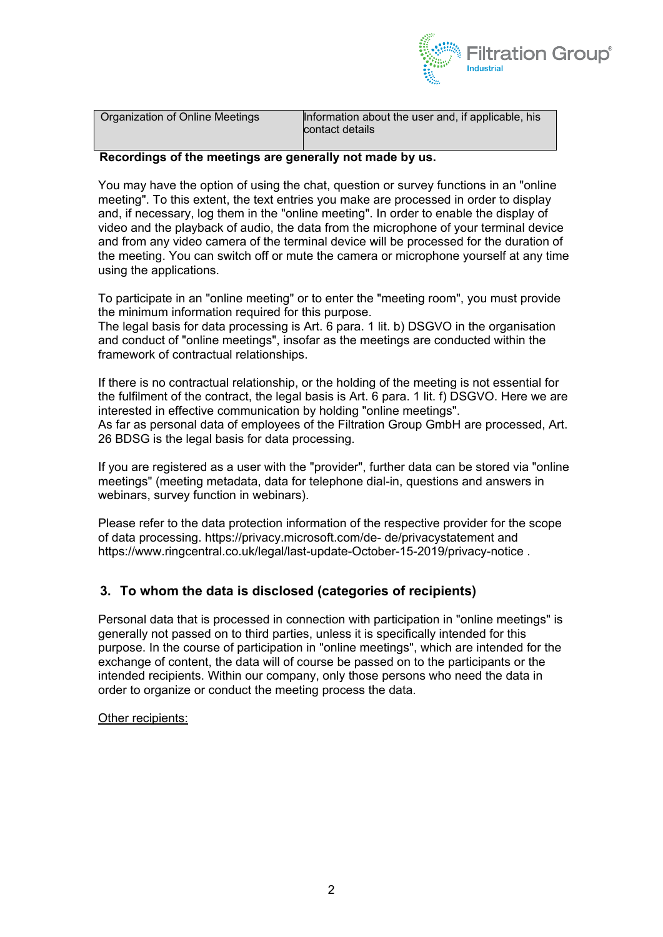

| Organization of Online Meetings | Information about the user and, if applicable, his<br>contact details |
|---------------------------------|-----------------------------------------------------------------------|
|                                 |                                                                       |

#### **Recordings of the meetings are generally not made by us.**

You may have the option of using the chat, question or survey functions in an "online meeting". To this extent, the text entries you make are processed in order to display and, if necessary, log them in the "online meeting". In order to enable the display of video and the playback of audio, the data from the microphone of your terminal device and from any video camera of the terminal device will be processed for the duration of the meeting. You can switch off or mute the camera or microphone yourself at any time using the applications.

To participate in an "online meeting" or to enter the "meeting room", you must provide the minimum information required for this purpose.

The legal basis for data processing is Art. 6 para. 1 lit. b) DSGVO in the organisation and conduct of "online meetings", insofar as the meetings are conducted within the framework of contractual relationships.

If there is no contractual relationship, or the holding of the meeting is not essential for the fulfilment of the contract, the legal basis is Art. 6 para. 1 lit. f) DSGVO. Here we are interested in effective communication by holding "online meetings". As far as personal data of employees of the Filtration Group GmbH are processed, Art. 26 BDSG is the legal basis for data processing.

If you are registered as a user with the "provider", further data can be stored via "online meetings" (meeting metadata, data for telephone dial-in, questions and answers in webinars, survey function in webinars).

Please refer to the data protection information of the respective provider for the scope of data processing. https://privacy.microsoft.com/de- de/privacystatement and https://www.ringcentral.co.uk/legal/last-update-October-15-2019/privacy-notice .

### **3. To whom the data is disclosed (categories of recipients)**

Personal data that is processed in connection with participation in "online meetings" is generally not passed on to third parties, unless it is specifically intended for this purpose. In the course of participation in "online meetings", which are intended for the exchange of content, the data will of course be passed on to the participants or the intended recipients. Within our company, only those persons who need the data in order to organize or conduct the meeting process the data.

Other recipients: